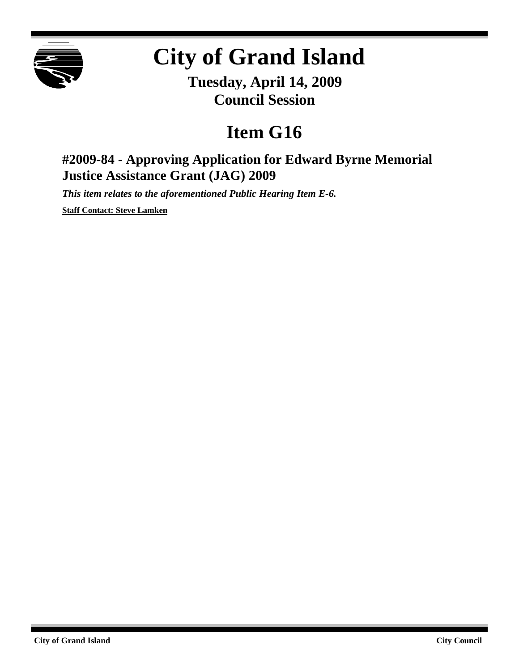

## **City of Grand Island**

**Tuesday, April 14, 2009 Council Session**

## **Item G16**

## **#2009-84 - Approving Application for Edward Byrne Memorial Justice Assistance Grant (JAG) 2009**

*This item relates to the aforementioned Public Hearing Item E-6.*

**Staff Contact: Steve Lamken**